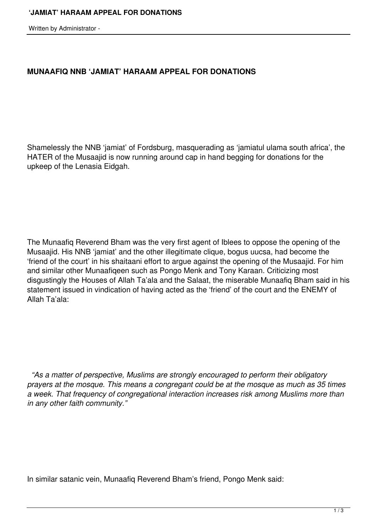Written by Administrator -

## **MUNAAFIQ NNB 'JAMIAT' HARAAM APPEAL FOR DONATIONS**

Shamelessly the NNB 'jamiat' of Fordsburg, masquerading as 'jamiatul ulama south africa', the HATER of the Musaajid is now running around cap in hand begging for donations for the upkeep of the Lenasia Eidgah.

The Munaafiq Reverend Bham was the very first agent of Iblees to oppose the opening of the Musaajid. His NNB 'jamiat' and the other illegitimate clique, bogus uucsa, had become the 'friend of the court' in his shaitaani effort to argue against the opening of the Musaajid. For him and similar other Munaafiqeen such as Pongo Menk and Tony Karaan. Criticizing most disgustingly the Houses of Allah Ta'ala and the Salaat, the miserable Munaafiq Bham said in his statement issued in vindication of having acted as the 'friend' of the court and the ENEMY of Allah Ta'ala:

 *"As a matter of perspective, Muslims are strongly encouraged to perform their obligatory prayers at the mosque. This means a congregant could be at the mosque as much as 35 times a week. That frequency of congregational interaction increases risk among Muslims more than in any other faith community."*

In similar satanic vein, Munaafiq Reverend Bham's friend, Pongo Menk said: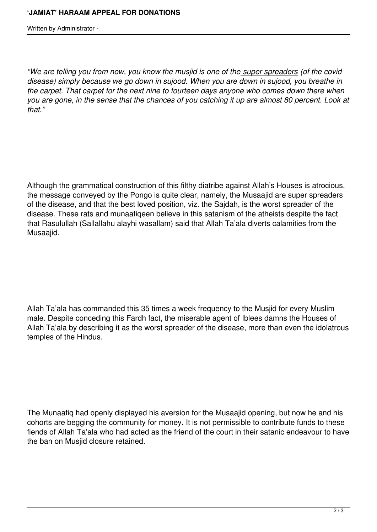Written by Administrator -

*"We are telling you from now, you know the musjid is one of the super spreaders (of the covid disease) simply because we go down in sujood. When you are down in sujood, you breathe in the carpet. That carpet for the next nine to fourteen days anyone who comes down there when you are gone, in the sense that the chances of you catching it up are almost 80 percent. Look at that."*

Although the grammatical construction of this filthy diatribe against Allah's Houses is atrocious, the message conveyed by the Pongo is quite clear, namely, the Musaajid are super spreaders of the disease, and that the best loved position, viz. the Sajdah, is the worst spreader of the disease. These rats and munaafiqeen believe in this satanism of the atheists despite the fact that Rasulullah (Sallallahu alayhi wasallam) said that Allah Ta'ala diverts calamities from the Musaajid.

Allah Ta'ala has commanded this 35 times a week frequency to the Musjid for every Muslim male. Despite conceding this Fardh fact, the miserable agent of Iblees damns the Houses of Allah Ta'ala by describing it as the worst spreader of the disease, more than even the idolatrous temples of the Hindus.

The Munaafiq had openly displayed his aversion for the Musaajid opening, but now he and his cohorts are begging the community for money. It is not permissible to contribute funds to these fiends of Allah Ta'ala who had acted as the friend of the court in their satanic endeavour to have the ban on Musjid closure retained.